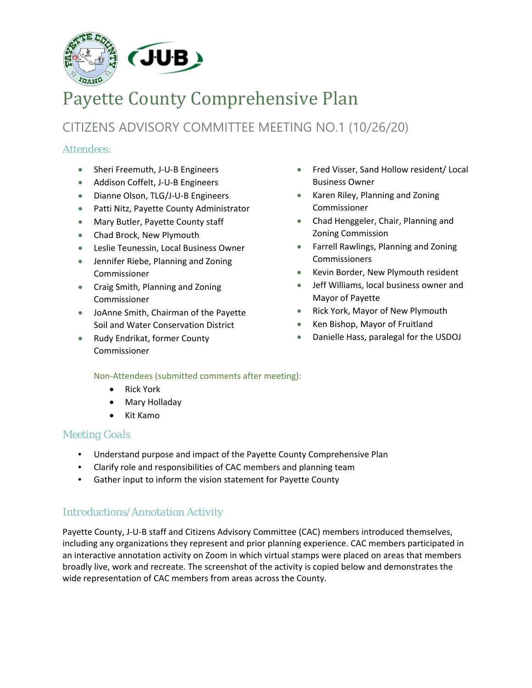

# Payette County Comprehensive Plan

# CITIZENS ADVISORY COMMITTEE MEETING NO.1 (10/26/20)

# *Attendees:*

- Sheri Freemuth, J-U-B Engineers
- Addison Coffelt, J-U-B Engineers
- Dianne Olson, TLG/J-U-B Engineers
- Patti Nitz, Payette County Administrator
- Mary Butler, Payette County staff
- Chad Brock, New Plymouth
- Leslie Teunessin, Local Business Owner
- Jennifer Riebe, Planning and Zoning Commissioner
- Craig Smith, Planning and Zoning Commissioner
- JoAnne Smith, Chairman of the Payette Soil and Water Conservation District
- Rudy Endrikat, former County Commissioner
- Fred Visser, Sand Hollow resident/ Local Business Owner
- Karen Riley, Planning and Zoning Commissioner
- Chad Henggeler, Chair, Planning and Zoning Commission
- Farrell Rawlings, Planning and Zoning Commissioners
- Kevin Border, New Plymouth resident
- Jeff Williams, local business owner and Mayor of Payette
- Rick York, Mayor of New Plymouth
- Ken Bishop, Mayor of Fruitland
- Danielle Hass, paralegal for the USDOJ

# Non-Attendees (submitted comments after meeting):

- Rick York
- Mary Holladay
- Kit Kamo

# *Meeting Goals*

- Understand purpose and impact of the Payette County Comprehensive Plan
- Clarify role and responsibilities of CAC members and planning team
- Gather input to inform the vision statement for Payette County

# *Introductions/Annotation Activity*

Payette County, J-U-B staff and Citizens Advisory Committee (CAC) members introduced themselves, including any organizations they represent and prior planning experience. CAC members participated in an interactive annotation activity on Zoom in which virtual stamps were placed on areas that members broadly live, work and recreate. The screenshot of the activity is copied below and demonstrates the wide representation of CAC members from areas across the County.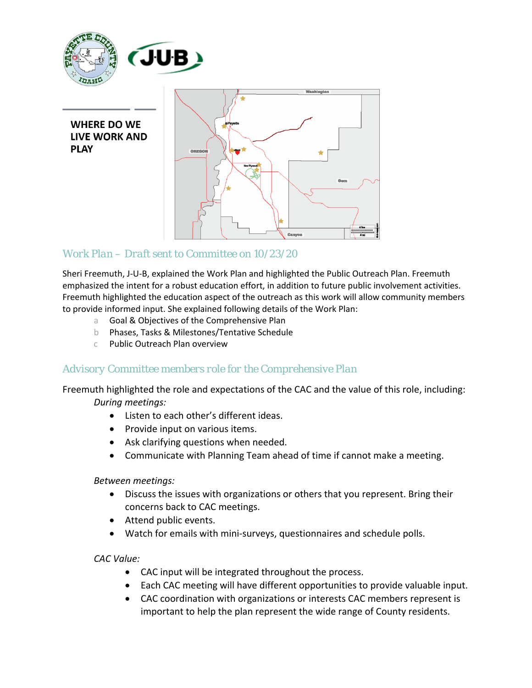

**WHERE DO WE LIVE WORK AND PLAY** 



# *Work Plan – Draft sent to Committee on 10/23/20*

Sheri Freemuth, J-U-B, explained the Work Plan and highlighted the Public Outreach Plan. Freemuth emphasized the intent for a robust education effort, in addition to future public involvement activities. Freemuth highlighted the education aspect of the outreach as this work will allow community members to provide informed input. She explained following details of the Work Plan:

- a Goal & Objectives of the Comprehensive Plan
- b Phases, Tasks & Milestones/Tentative Schedule
- c Public Outreach Plan overview

# *Advisory Committee members role for the Comprehensive Plan*

Freemuth highlighted the role and expectations of the CAC and the value of this role, including: *During meetings:*

- Listen to each other's different ideas.
- Provide input on various items.
- Ask clarifying questions when needed.
- Communicate with Planning Team ahead of time if cannot make a meeting.

# *Between meetings:*

- Discuss the issues with organizations or others that you represent. Bring their concerns back to CAC meetings.
- Attend public events.
- Watch for emails with mini-surveys, questionnaires and schedule polls.

# *CAC Value:*

- CAC input will be integrated throughout the process.
- Each CAC meeting will have different opportunities to provide valuable input.
- CAC coordination with organizations or interests CAC members represent is important to help the plan represent the wide range of County residents.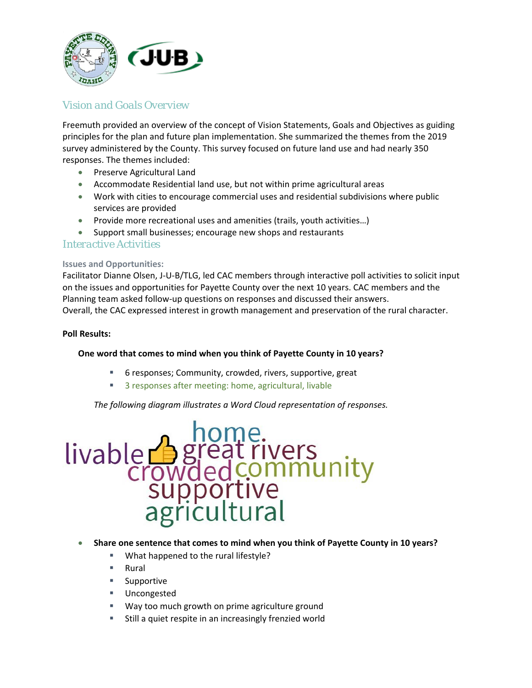

# *Vision and Goals Overview*

Freemuth provided an overview of the concept of Vision Statements, Goals and Objectives as guiding principles for the plan and future plan implementation. She summarized the themes from the 2019 survey administered by the County. This survey focused on future land use and had nearly 350 responses. The themes included:

- Preserve Agricultural Land
- Accommodate Residential land use, but not within prime agricultural areas
- Work with cities to encourage commercial uses and residential subdivisions where public services are provided
- Provide more recreational uses and amenities (trails, youth activities…)
- Support small businesses; encourage new shops and restaurants

# *Interactive Activities*

#### **Issues and Opportunities:**

Facilitator Dianne Olsen, J-U-B/TLG, led CAC members through interactive poll activities to solicit input on the issues and opportunities for Payette County over the next 10 years. CAC members and the Planning team asked follow-up questions on responses and discussed their answers. Overall, the CAC expressed interest in growth management and preservation of the rural character.

#### **Poll Results:**

#### **One word that comes to mind when you think of Payette County in 10 years?**

- 6 responses; Community, crowded, rivers, supportive, great
- 3 responses after meeting: home, agricultural, livable

*The following diagram illustrates a Word Cloud representation of responses.* 



#### • **Share one sentence that comes to mind when you think of Payette County in 10 years?**

- **What happened to the rural lifestyle?**
- Rural
- **Supportive**
- **Uncongested**
- **Way too much growth on prime agriculture ground**
- Still a quiet respite in an increasingly frenzied world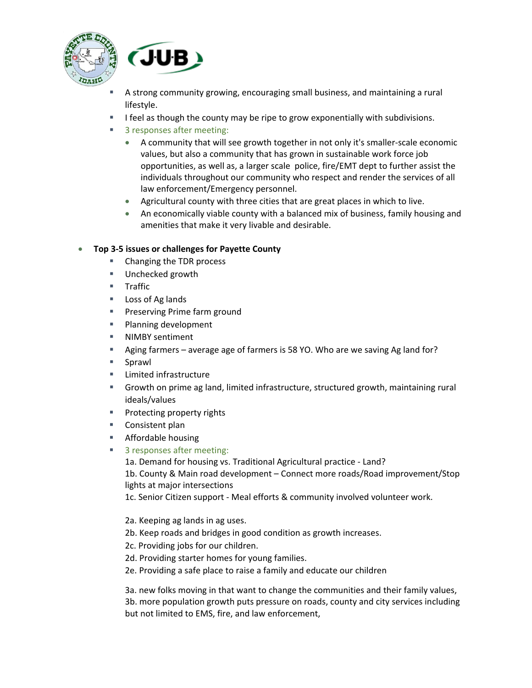



- A strong community growing, encouraging small business, and maintaining a rural lifestyle.
- $\blacksquare$  I feel as though the county may be ripe to grow exponentially with subdivisions.
- 3 responses after meeting:
	- A community that will see growth together in not only it's smaller-scale economic values, but also a community that has grown in sustainable work force job opportunities, as well as, a larger scale police, fire/EMT dept to further assist the individuals throughout our community who respect and render the services of all law enforcement/Emergency personnel.
	- Agricultural county with three cities that are great places in which to live.
	- An economically viable county with a balanced mix of business, family housing and amenities that make it very livable and desirable.

# • **Top 3-5 issues or challenges for Payette County**

- Changing the TDR process
- **Unchecked growth**
- **Traffic**
- **Loss of Ag lands**
- **Preserving Prime farm ground**
- **Planning development**
- **NIMBY sentiment**
- Aging farmers average age of farmers is 58 YO. Who are we saving Ag land for?
- **Sprawl**
- **EXECUTE:** Limited infrastructure
- Growth on prime ag land, limited infrastructure, structured growth, maintaining rural ideals/values
- **Protecting property rights**
- Consistent plan
- **Affordable housing**
- 3 responses after meeting:
	- 1a. Demand for housing vs. Traditional Agricultural practice Land?
	- 1b. County & Main road development Connect more roads/Road improvement/Stop lights at major intersections
	- 1c. Senior Citizen support Meal efforts & community involved volunteer work.
	- 2a. Keeping ag lands in ag uses.
	- 2b. Keep roads and bridges in good condition as growth increases.
	- 2c. Providing jobs for our children.
	- 2d. Providing starter homes for young families.
	- 2e. Providing a safe place to raise a family and educate our children

3a. new folks moving in that want to change the communities and their family values, 3b. more population growth puts pressure on roads, county and city services including but not limited to EMS, fire, and law enforcement,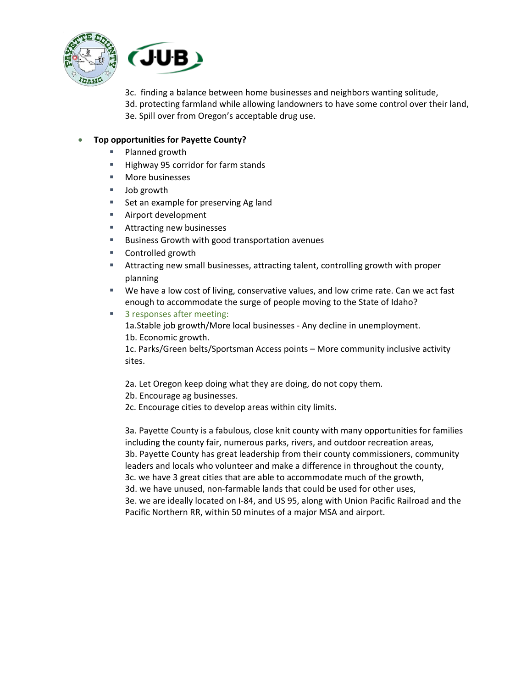



3c. finding a balance between home businesses and neighbors wanting solitude, 3d. protecting farmland while allowing landowners to have some control over their land, 3e. Spill over from Oregon's acceptable drug use.

#### • **Top opportunities for Payette County?**

- **Planned growth**
- **Highway 95 corridor for farm stands**
- **More businesses**
- Job growth
- Set an example for preserving Ag land
- **Airport development**
- Attracting new businesses
- **Business Growth with good transportation avenues**
- Controlled growth
- Attracting new small businesses, attracting talent, controlling growth with proper planning
- We have a low cost of living, conservative values, and low crime rate. Can we act fast enough to accommodate the surge of people moving to the State of Idaho?
- 3 responses after meeting:
	- 1a.Stable job growth/More local businesses Any decline in unemployment. 1b. Economic growth.

1c. Parks/Green belts/Sportsman Access points – More community inclusive activity sites.

- 2a. Let Oregon keep doing what they are doing, do not copy them.
- 2b. Encourage ag businesses.
- 2c. Encourage cities to develop areas within city limits.

3a. Payette County is a fabulous, close knit county with many opportunities for families including the county fair, numerous parks, rivers, and outdoor recreation areas, 3b. Payette County has great leadership from their county commissioners, community leaders and locals who volunteer and make a difference in throughout the county, 3c. we have 3 great cities that are able to accommodate much of the growth, 3d. we have unused, non-farmable lands that could be used for other uses, 3e. we are ideally located on I-84, and US 95, along with Union Pacific Railroad and the Pacific Northern RR, within 50 minutes of a major MSA and airport.